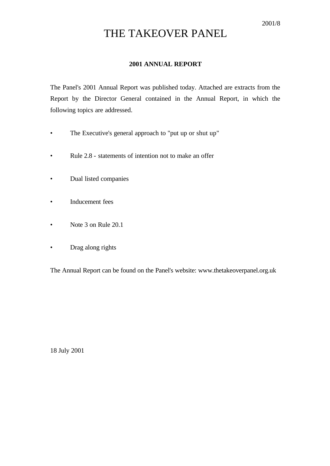# THE TAKEOVER PANEL

# **2001 ANNUAL REPORT**

The Panel's 2001 Annual Report was published today. Attached are extracts from the Report by the Director General contained in the Annual Report, in which the following topics are addressed.

- The Executive's general approach to "put up or shut up"
- Rule 2.8 statements of intention not to make an offer
- Dual listed companies
- Inducement fees
- Note 3 on Rule 20.1
- Drag along rights

The Annual Report can be found on the Panel's website: www.thetakeoverpanel.org.uk

18 July 2001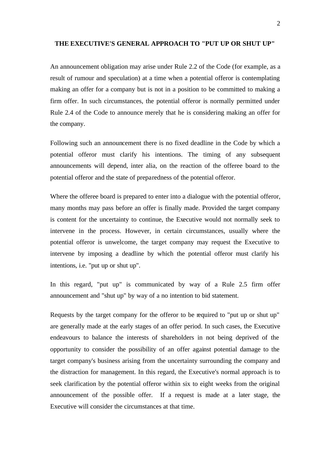#### **THE EXECUTIVE'S GENERAL APPROACH TO "PUT UP OR SHUT UP"**

An announcement obligation may arise under Rule 2.2 of the Code (for example, as a result of rumour and speculation) at a time when a potential offeror is contemplating making an offer for a company but is not in a position to be committed to making a firm offer. In such circumstances, the potential offeror is normally permitted under Rule 2.4 of the Code to announce merely that he is considering making an offer for the company.

Following such an announcement there is no fixed deadline in the Code by which a potential offeror must clarify his intentions. The timing of any subsequent announcements will depend, inter alia, on the reaction of the offeree board to the potential offeror and the state of preparedness of the potential offeror.

Where the offeree board is prepared to enter into a dialogue with the potential offeror, many months may pass before an offer is finally made. Provided the target company is content for the uncertainty to continue, the Executive would not normally seek to intervene in the process. However, in certain circumstances, usually where the potential offeror is unwelcome, the target company may request the Executive to intervene by imposing a deadline by which the potential offeror must clarify his intentions, i.e. "put up or shut up".

In this regard, "put up" is communicated by way of a Rule 2.5 firm offer announcement and "shut up" by way of a no intention to bid statement.

Requests by the target company for the offeror to be required to "put up or shut up" are generally made at the early stages of an offer period. In such cases, the Executive endeavours to balance the interests of shareholders in not being deprived of the opportunity to consider the possibility of an offer against potential damage to the target company's business arising from the uncertainty surrounding the company and the distraction for management. In this regard, the Executive's normal approach is to seek clarification by the potential offeror within six to eight weeks from the original announcement of the possible offer. If a request is made at a later stage, the Executive will consider the circumstances at that time.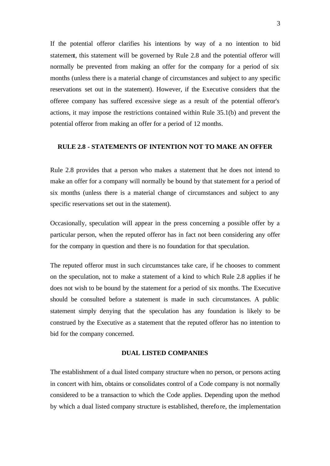If the potential offeror clarifies his intentions by way of a no intention to bid statement, this statement will be governed by Rule 2.8 and the potential offeror will normally be prevented from making an offer for the company for a period of six months (unless there is a material change of circumstances and subject to any specific reservations set out in the statement). However, if the Executive considers that the offeree company has suffered excessive siege as a result of the potential offeror's actions, it may impose the restrictions contained within Rule 35.1(b) and prevent the potential offeror from making an offer for a period of 12 months.

#### **RULE 2.8 - STATEMENTS OF INTENTION NOT TO MAKE AN OFFER**

Rule 2.8 provides that a person who makes a statement that he does not intend to make an offer for a company will normally be bound by that statement for a period of six months (unless there is a material change of circumstances and subject to any specific reservations set out in the statement).

Occasionally, speculation will appear in the press concerning a possible offer by a particular person, when the reputed offeror has in fact not been considering any offer for the company in question and there is no foundation for that speculation.

The reputed offeror must in such circumstances take care, if he chooses to comment on the speculation, not to make a statement of a kind to which Rule 2.8 applies if he does not wish to be bound by the statement for a period of six months. The Executive should be consulted before a statement is made in such circumstances. A public statement simply denying that the speculation has any foundation is likely to be construed by the Executive as a statement that the reputed offeror has no intention to bid for the company concerned.

#### **DUAL LISTED COMPANIES**

The establishment of a dual listed company structure when no person, or persons acting in concert with him, obtains or consolidates control of a Code company is not normally considered to be a transaction to which the Code applies. Depending upon the method by which a dual listed company structure is established, therefore, the implementation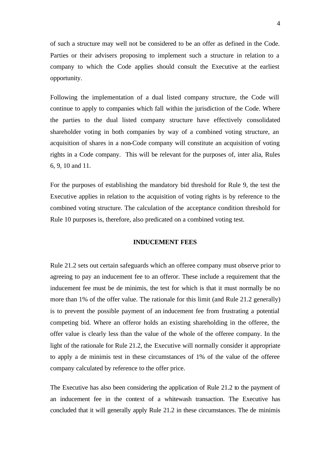of such a structure may well not be considered to be an offer as defined in the Code. Parties or their advisers proposing to implement such a structure in relation to a company to which the Code applies should consult the Executive at the earliest opportunity.

Following the implementation of a dual listed company structure, the Code will continue to apply to companies which fall within the jurisdiction of the Code. Where the parties to the dual listed company structure have effectively consolidated shareholder voting in both companies by way of a combined voting structure, an acquisition of shares in a non-Code company will constitute an acquisition of voting rights in a Code company. This will be relevant for the purposes of, inter alia, Rules 6, 9, 10 and 11.

For the purposes of establishing the mandatory bid threshold for Rule 9, the test the Executive applies in relation to the acquisition of voting rights is by reference to the combined voting structure. The calculation of the acceptance condition threshold for Rule 10 purposes is, therefore, also predicated on a combined voting test.

#### **INDUCEMENT FEES**

Rule 21.2 sets out certain safeguards which an offeree company must observe prior to agreeing to pay an inducement fee to an offeror. These include a requirement that the inducement fee must be de minimis, the test for which is that it must normally be no more than 1% of the offer value. The rationale for this limit (and Rule 21.2 generally) is to prevent the possible payment of an inducement fee from frustrating a potential competing bid. Where an offeror holds an existing shareholding in the offeree, the offer value is clearly less than the value of the whole of the offeree company. In the light of the rationale for Rule 21.2, the Executive will normally consider it appropriate to apply a de minimis test in these circumstances of 1% of the value of the offeree company calculated by reference to the offer price.

The Executive has also been considering the application of Rule 21.2 to the payment of an inducement fee in the context of a whitewash transaction. The Executive has concluded that it will generally apply Rule 21.2 in these circumstances. The de minimis